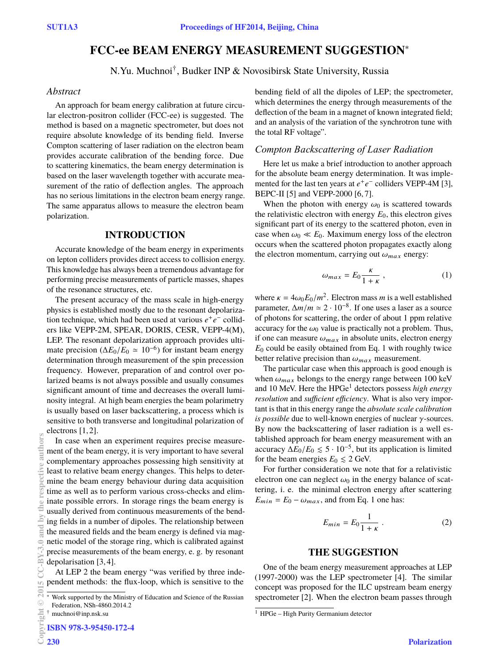# **FCC-ee BEAM ENERGY MEASUREMENT SUGGESTION**∗

N.Yu. Muchnoi† , Budker INP & Novosibirsk State University, Russia

#### *Abstract*

An approach for beam energy calibration at future circular electron-positron collider (FCC-ee) is suggested. The method is based on a magnetic spectrometer, but does not require absolute knowledge of its bending field. Inverse Compton scattering of laser radiation on the electron beam provides accurate calibration of the bending force. Due to scattering kinematics, the beam energy determination is based on the laser wavelength together with accurate measurement of the ratio of deflection angles. The approach has no serious limitations in the electron beam energy range. The same apparatus allows to measure the electron beam polarization.

### **INTRODUCTION**

Accurate knowledge of the beam energy in experiments on lepton colliders provides direct access to collision energy. This knowledge has always been a tremendous advantage for performing precise measurements of particle masses, shapes of the resonance structures, etc.

The present accuracy of the mass scale in high-energy physics is established mostly due to the resonant depolarization technique, which had been used at various  $e^+e^-$  colliders like VEPP-2M, SPEAR, DORIS, CESR, VEPP-4(M), LEP. The resonant depolarization approach provides ultimate precision ( $\Delta E_0/E_0 \simeq 10^{-6}$ ) for instant beam energy determination through measurement of the spin precession frequency. However, preparation of and control over polarized beams is not always possible and usually consumes significant amount of time and decreases the overall luminosity integral. At high beam energies the beam polarimetry is usually based on laser backscattering, a process which is sensitive to both transverse and longitudinal polarization of electrons [1, 2].

In case when an experiment requires precise measurement of the beam energy, it is very important to have several complementary approaches possessing high sensitivity at least to relative beam energy changes. This helps to determine the beam energy behaviour during data acquisition time as well as to perform various cross-checks and eliminate possible errors. In storage rings the beam energy is usually derived from continuous measurements of the bending fields in a number of dipoles. The relationship between the measured fields and the beam energy is defined via magnetic model of the storage ring, which is calibrated against precise measurements of the beam energy, e. g. by resonant depolarisation [3, 4]. **2015 CC-BY-3.0 and by the respective authors**

At LEP 2 the beam energy "was verified by three independent methods: the flux-loop, which is sensitive to the

**ISBN 978-3-95450-172-4**

**Copyright**

**©**

 $\approx$ 

authors

**ine** è Ĕ

bending field of all the dipoles of LEP; the spectrometer, which determines the energy through measurements of the deflection of the beam in a magnet of known integrated field; and an analysis of the variation of the synchrotron tune with the total RF voltage".

#### *Compton Backscattering of Laser Radiation*

Here let us make a brief introduction to another approach for the absolute beam energy determination. It was implemented for the last ten years at  $e^+e^-$  colliders VEPP-4M [3], BEPC-II [5] and VEPP-2000 [6, 7].

When the photon with energy  $\omega_0$  is scattered towards the relativistic electron with energy  $E_0$ , this electron gives significant part of its energy to the scattered photon, even in case when  $\omega_0 \ll E_0$ . Maximum energy loss of the electron occurs when the scattered photon propagates exactly along the electron momentum, carrying out  $\omega_{max}$  energy:

$$
\omega_{max} = E_0 \frac{\kappa}{1 + \kappa} \,, \tag{1}
$$

where  $\kappa = 4\omega_0 E_0/m^2$ . Electron mass *m* is a well established parameter,  $\Delta m/m \simeq 2 \cdot 10^{-8}$ . If one uses a laser as a source of photons for scattering, the order of about 1 ppm relative accuracy for the  $\omega_0$  value is practically not a problem. Thus, if one can measure  $\omega_{max}$  in absolute units, electron energy *E*<sup>0</sup> could be easily obtained from Eq. 1 with roughly twice better relative precision than  $\omega_{max}$  measurement.

The particular case when this approach is good enough is when  $\omega_{max}$  belongs to the energy range between 100 keV and 10 MeV. Here the HPGe<sup>1</sup> detectors possess *high energy resolution* and *sufficient efficiency*. What is also very important is that in this energy range the *absolute scale calibration is possible* due to well-known energies of nuclear γ-sources. By now the backscattering of laser radiation is a well established approach for beam energy measurement with an accuracy  $\Delta E_0/E_0 \lesssim 5 \cdot 10^{-5}$ , but its application is limited for the beam energies  $E_0 \leq 2$  GeV.

For further consideration we note that for a relativistic electron one can neglect  $\omega_0$  in the energy balance of scattering, i. e. the minimal electron energy after scattering  $E_{min} = E_0 - \omega_{max}$ , and from Eq. 1 one has:

$$
E_{min} = E_0 \frac{1}{1 + \kappa} \tag{2}
$$

## **THE SUGGESTION**

One of the beam energy measurement approaches at LEP (1997-2000) was the LEP spectrometer [4]. The similar concept was proposed for the ILC upstream beam energy spectrometer [2]. When the electron beam passes through

Work supported by the Ministry of Education and Science of the Russian Federation, NSh-4860.2014.2

<sup>†</sup> muchnoi@inp.nsk.su

<sup>1</sup> HPGe – High Purity Germanium detector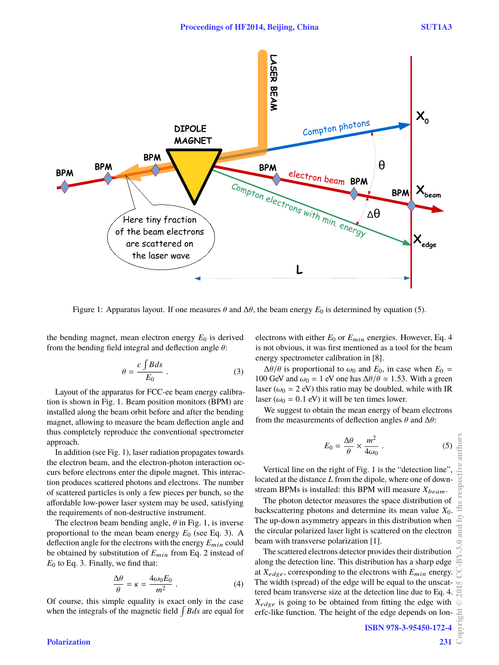

Figure 1: Apparatus layout. If one measures  $\theta$  and  $\Delta\theta$ , the beam energy  $E_0$  is determined by equation (5).

the bending magnet, mean electron energy  $E_0$  is derived from the bending field integral and deflection angle  $\theta$ :

$$
\theta = \frac{c \int B ds}{E_0} \,. \tag{3}
$$

Layout of the apparatus for FCC-ee beam energy calibration is shown in Fig. 1. Beam position monitors (BPM) are installed along the beam orbit before and after the bending magnet, allowing to measure the beam deflection angle and thus completely reproduce the conventional spectrometer approach.

In addition (see Fig. 1), laser radiation propagates towards the electron beam, and the electron-photon interaction occurs before electrons enter the dipole magnet. This interaction produces scattered photons and electrons. The number of scattered particles is only a few pieces per bunch, so the affordable low-power laser system may be used, satisfying the requirements of non-destructive instrument.

The electron beam bending angle,  $\theta$  in Fig. 1, is inverse proportional to the mean beam energy  $E_0$  (see Eq. 3). A deflection angle for the electrons with the energy *E*min could be obtained by substitution of  $E_{min}$  from Eq. 2 instead of  $E_0$  to Eq. 3. Finally, we find that:

$$
\frac{\Delta\theta}{\theta} = \kappa = \frac{4\omega_0 E_0}{m^2} \ . \tag{4}
$$

Of course, this simple equality is exact only in the case when the integrals of the magnetic field  $\int B ds$  are equal for

electrons with either *E*<sup>0</sup> or *E*min energies. However, Eq. 4 is not obvious, it was first mentioned as a tool for the beam energy spectrometer calibration in [8].

 $\Delta\theta/\theta$  is proportional to  $\omega_0$  and  $E_0$ , in case when  $E_0 =$ 100 GeV and  $\omega_0 = 1$  eV one has  $\Delta\theta/\theta \approx 1.53$ . With a green laser ( $\omega_0 = 2$  eV) this ratio may be doubled, while with IR laser ( $\omega_0 = 0.1$  eV) it will be ten times lower.

We suggest to obtain the mean energy of beam electrons from the measurements of deflection angles  $\theta$  and  $\Delta\theta$ :

$$
E_0 = \frac{\Delta\theta}{\theta} \times \frac{m^2}{4\omega_0} \ . \tag{5}
$$

Vertical line on the right of Fig. 1 is the "detection line", located at the distance *L* from the dipole, where one of downstream BPMs is installed: this BPM will measure  $X_{beam}$ .

The photon detector measures the space distribution of backscattering photons and determine its mean value *X*0. The up-down asymmetry appears in this distribution when the circular polarized laser light is scattered on the electron beam with transverse polarization [1].

The scattered electrons detector provides their distribution along the detection line. This distribution has a sharp edge at  $X_{edge}$ , corresponding to the electrons with  $E_{min}$  energy. The width (spread) of the edge will be equal to the unscattered beam transverse size at the detection line due to Eq. 4. *X*edge is going to be obtained from fitting the edge with erfc-like function. The height of the edge depends on lon